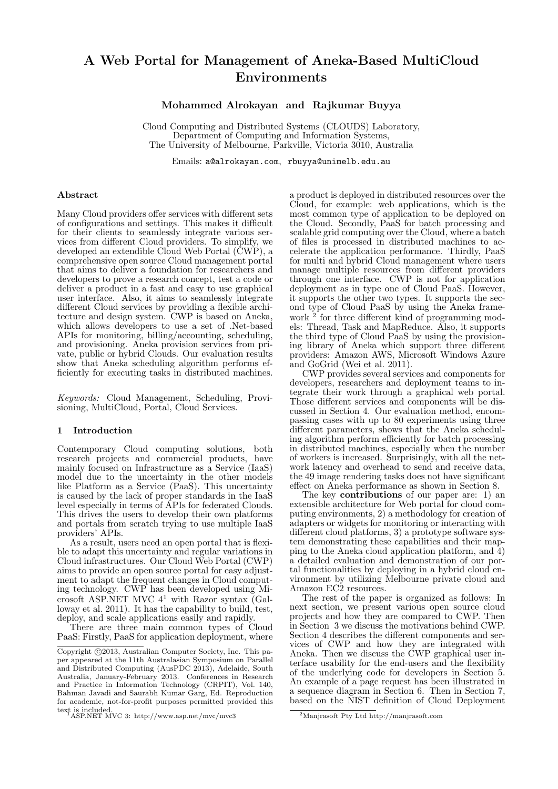# A Web Portal for Management of Aneka-Based MultiCloud Environments

Mohammed Alrokayan and Rajkumar Buyya

Cloud Computing and Distributed Systems (CLOUDS) Laboratory, Department of Computing and Information Systems, The University of Melbourne, Parkville, Victoria 3010, Australia

Emails: a@alrokayan.com, rbuyya@unimelb.edu.au

#### Abstract

Many Cloud providers offer services with different sets of configurations and settings. This makes it difficult for their clients to seamlessly integrate various services from different Cloud providers. To simplify, we developed an extendible Cloud Web Portal (CWP), a comprehensive open source Cloud management portal that aims to deliver a foundation for researchers and developers to prove a research concept, test a code or deliver a product in a fast and easy to use graphical user interface. Also, it aims to seamlessly integrate different Cloud services by providing a flexible architecture and design system. CWP is based on Aneka, which allows developers to use a set of .Net-based APIs for monitoring, billing/accounting, scheduling, and provisioning. Aneka provision services from private, public or hybrid Clouds. Our evaluation results show that Aneka scheduling algorithm performs efficiently for executing tasks in distributed machines.

Keywords: Cloud Management, Scheduling, Provisioning, MultiCloud, Portal, Cloud Services.

#### 1 Introduction

Contemporary Cloud computing solutions, both research projects and commercial products, have mainly focused on Infrastructure as a Service (IaaS) model due to the uncertainty in the other models like Platform as a Service (PaaS). This uncertainty is caused by the lack of proper standards in the IaaS level especially in terms of APIs for federated Clouds. This drives the users to develop their own platforms and portals from scratch trying to use multiple IaaS providers' APIs.

As a result, users need an open portal that is flexible to adapt this uncertainty and regular variations in Cloud infrastructures. Our Cloud Web Portal (CWP) aims to provide an open source portal for easy adjustment to adapt the frequent changes in Cloud computing technology. CWP has been developed using Microsoft ASP.NET MVC  $4^1$  with Razor syntax (Galloway et al. 2011). It has the capability to build, test, deploy, and scale applications easily and rapidly.

There are three main common types of Cloud PaaS: Firstly, PaaS for application deployment, where

a product is deployed in distributed resources over the Cloud, for example: web applications, which is the most common type of application to be deployed on the Cloud. Secondly, PaaS for batch processing and scalable grid computing over the Cloud, where a batch of files is processed in distributed machines to accelerate the application performance. Thirdly, PaaS for multi and hybrid Cloud management where users manage multiple resources from different providers through one interface. CWP is not for application deployment as in type one of Cloud PaaS. However, it supports the other two types. It supports the second type of Cloud PaaS by using the Aneka framework<sup>2</sup> for three different kind of programming models: Thread, Task and MapReduce. Also, it supports the third type of Cloud PaaS by using the provisioning library of Aneka which support three different providers: Amazon AWS, Microsoft Windows Azure and GoGrid (Wei et al. 2011).

CWP provides several services and components for developers, researchers and deployment teams to integrate their work through a graphical web portal. Those different services and components will be discussed in Section 4. Our evaluation method, encompassing cases with up to 80 experiments using three different parameters, shows that the Aneka scheduling algorithm perform efficiently for batch processing in distributed machines, especially when the number of workers is increased. Surprisingly, with all the network latency and overhead to send and receive data, the 49 image rendering tasks does not have significant effect on Aneka performance as shown in Section 8.

The key **contributions** of our paper are: 1) an extensible architecture for Web portal for cloud computing environments, 2) a methodology for creation of adapters or widgets for monitoring or interacting with different cloud platforms, 3) a prototype software system demonstrating these capabilities and their mapping to the Aneka cloud application platform, and  $\overline{4}$ ) a detailed evaluation and demonstration of our portal functionalities by deploying in a hybrid cloud environment by utilizing Melbourne private cloud and Amazon EC2 resources.

The rest of the paper is organized as follows: In next section, we present various open source cloud projects and how they are compared to CWP. Then in Section 3 we discuss the motivations behind CWP. Section 4 describes the different components and services of CWP and how they are integrated with Aneka. Then we discuss the CWP graphical user interface usability for the end-users and the flexibility of the underlying code for developers in Section 5. An example of a page request has been illustrated in a sequence diagram in Section 6. Then in Section 7, based on the NIST definition of Cloud Deployment

Copyright ©2013, Australian Computer Society, Inc. This paper appeared at the 11th Australasian Symposium on Parallel and Distributed Computing (AusPDC 2013), Adelaide, South Australia, January-February 2013. Conferences in Research and Practice in Information Technology (CRPIT), Vol. 140, Bahman Javadi and Saurabh Kumar Garg, Ed. Reproduction for academic, not-for-profit purposes permitted provided this text is included.<br><sup>1</sup>ASP.NET MVC 3: http://www.asp.net/mvc/mvc3

<sup>2</sup>Manjrasoft Pty Ltd http://manjrasoft.com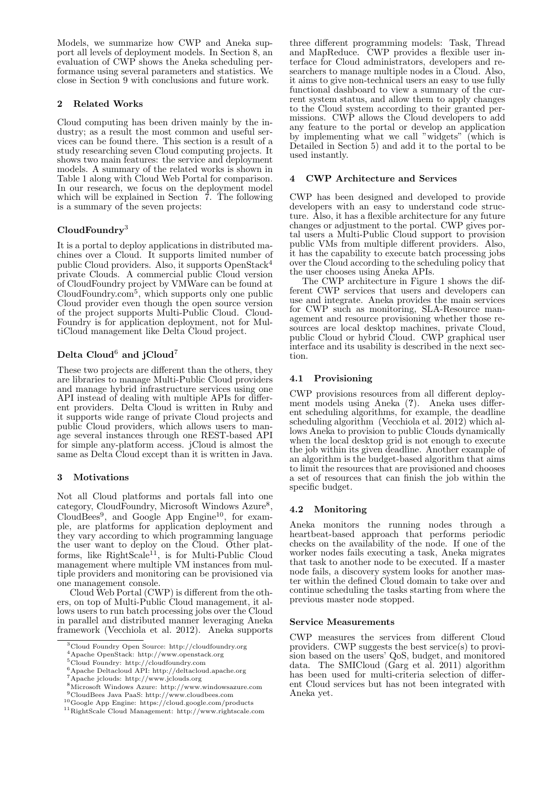Models, we summarize how CWP and Aneka support all levels of deployment models. In Section 8, an evaluation of CWP shows the Aneka scheduling performance using several parameters and statistics. We close in Section 9 with conclusions and future work.

### 2 Related Works

Cloud computing has been driven mainly by the industry; as a result the most common and useful services can be found there. This section is a result of a study researching seven Cloud computing projects. It shows two main features: the service and deployment models. A summary of the related works is shown in Table 1 along with Cloud Web Portal for comparison. In our research, we focus on the deployment model which will be explained in Section  $\bar{7}$ . The following is a summary of the seven projects:

# $\mathbf{CloudFoundry}^{3}$

It is a portal to deploy applications in distributed machines over a Cloud. It supports limited number of public Cloud providers. Also, it supports OpenStack<sup>4</sup> private Clouds. A commercial public Cloud version of CloudFoundry project by VMWare can be found at CloudFoundry.com<sup>5</sup> , which supports only one public Cloud provider even though the open source version of the project supports Multi-Public Cloud. Cloud-Foundry is for application deployment, not for MultiCloud management like Delta Cloud project.

# Delta Cloud<sup>6</sup> and  $i$ Cloud<sup>7</sup>

These two projects are different than the others, they are libraries to manage Multi-Public Cloud providers and manage hybrid infrastructure services using one API instead of dealing with multiple APIs for different providers. Delta Cloud is written in Ruby and it supports wide range of private Cloud projects and public Cloud providers, which allows users to manage several instances through one REST-based API for simple any-platform access. jCloud is almost the same as Delta Cloud except than it is written in Java.

# 3 Motivations

Not all Cloud platforms and portals fall into one category, CloudFoundry, Microsoft Windows Azure<sup>8</sup>, CloudBees<sup>9</sup>, and Google App Engine<sup>10</sup>, for example, are platforms for application deployment and they vary according to which programming language the user want to deploy on the Cloud. Other platforms, like RightScale<sup>11</sup>, is for Multi-Public Cloud management where multiple VM instances from multiple providers and monitoring can be provisioned via one management console.

Cloud Web Portal (CWP) is different from the others, on top of Multi-Public Cloud management, it allows users to run batch processing jobs over the Cloud in parallel and distributed manner leveraging Aneka framework (Vecchiola et al. 2012). Aneka supports

three different programming models: Task, Thread and MapReduce. CWP provides a flexible user interface for Cloud administrators, developers and researchers to manage multiple nodes in a Cloud. Also, it aims to give non-technical users an easy to use fully functional dashboard to view a summary of the current system status, and allow them to apply changes to the Cloud system according to their granted permissions. CWP allows the Cloud developers to add any feature to the portal or develop an application by implementing what we call "widgets" (which is Detailed in Section 5) and add it to the portal to be used instantly.

## 4 CWP Architecture and Services

CWP has been designed and developed to provide developers with an easy to understand code structure. Also, it has a flexible architecture for any future changes or adjustment to the portal. CWP gives portal users a Multi-Public Cloud support to provision public VMs from multiple different providers. Also, it has the capability to execute batch processing jobs over the Cloud according to the scheduling policy that the user chooses using Aneka APIs.

The CWP architecture in Figure 1 shows the different CWP services that users and developers can use and integrate. Aneka provides the main services for CWP such as monitoring, SLA-Resource management and resource provisioning whether those resources are local desktop machines, private Cloud, public Cloud or hybrid Cloud. CWP graphical user interface and its usability is described in the next section.

# 4.1 Provisioning

CWP provisions resources from all different deployment models using Aneka (?). Aneka uses different scheduling algorithms, for example, the deadline scheduling algorithm (Vecchiola et al. 2012) which allows Aneka to provision to public Clouds dynamically when the local desktop grid is not enough to execute the job within its given deadline. Another example of an algorithm is the budget-based algorithm that aims to limit the resources that are provisioned and chooses a set of resources that can finish the job within the specific budget.

# 4.2 Monitoring

Aneka monitors the running nodes through a heartbeat-based approach that performs periodic checks on the availability of the node. If one of the worker nodes fails executing a task, Aneka migrates that task to another node to be executed. If a master node fails, a discovery system looks for another master within the defined Cloud domain to take over and continue scheduling the tasks starting from where the previous master node stopped.

#### Service Measurements

CWP measures the services from different Cloud providers. CWP suggests the best service(s) to provision based on the users' QoS, budget, and monitored data. The SMICloud (Garg et al. 2011) algorithm has been used for multi-criteria selection of different Cloud services but has not been integrated with Aneka yet.

<sup>3</sup>Cloud Foundry Open Source: http://cloudfoundry.org

<sup>4</sup>Apache OpenStack: http://www.openstack.org

<sup>5</sup>Cloud Foundry: http://cloudfoundry.com

<sup>6</sup>Apache Deltacloud API: http://deltacloud.apache.org

<sup>7</sup>Apache jclouds: http://www.jclouds.org

<sup>8</sup>Microsoft Windows Azure: http://www.windowsazure.com <sup>9</sup>CloudBees Java PaaS: http://www.cloudbees.com

<sup>10</sup>Google App Engine: https://cloud.google.com/products

<sup>11</sup>RightScale Cloud Management: http://www.rightscale.com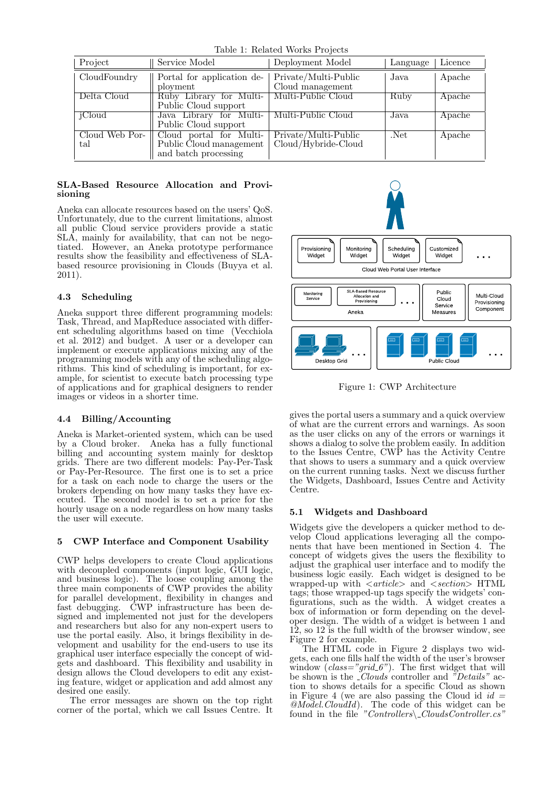Table 1: Related Works Projects

| Project               | Service Model                                                              | Deployment Model                            | Language          | Licence |
|-----------------------|----------------------------------------------------------------------------|---------------------------------------------|-------------------|---------|
| CloudFoundry          | Portal for application de-<br>ployment                                     | Private/Multi-Public<br>Cloud management    | Java              | Apache  |
| Delta Cloud           | Ruby Library for Multi-<br>Public Cloud support                            | Multi-Public Cloud                          | Ruby              | Apache  |
| iCloud                | Java Library for Multi-<br>Public Cloud support                            | Multi-Public Cloud                          | Java              | Apache  |
| Cloud Web Por-<br>tal | Cloud portal for Multi-<br>Public Cloud management<br>and batch processing | Private/Multi-Public<br>Cloud/Hybride-Cloud | $\overline{N}$ et | Apache  |

## SLA-Based Resource Allocation and Provisioning

Aneka can allocate resources based on the users' QoS. Unfortunately, due to the current limitations, almost all public Cloud service providers provide a static SLA, mainly for availability, that can not be negotiated. However, an Aneka prototype performance results show the feasibility and effectiveness of SLAbased resource provisioning in Clouds (Buyya et al. 2011).

# 4.3 Scheduling

Aneka support three different programming models: Task, Thread, and MapReduce associated with different scheduling algorithms based on time (Vecchiola et al. 2012) and budget. A user or a developer can implement or execute applications mixing any of the programming models with any of the scheduling algorithms. This kind of scheduling is important, for example, for scientist to execute batch processing type of applications and for graphical designers to render images or videos in a shorter time.

# 4.4 Billing/Accounting

Aneka is Market-oriented system, which can be used by a Cloud broker. Aneka has a fully functional billing and accounting system mainly for desktop grids. There are two different models: Pay-Per-Task or Pay-Per-Resource. The first one is to set a price for a task on each node to charge the users or the brokers depending on how many tasks they have executed. The second model is to set a price for the hourly usage on a node regardless on how many tasks the user will execute.

# 5 CWP Interface and Component Usability

CWP helps developers to create Cloud applications with decoupled components (input logic, GUI logic, and business logic). The loose coupling among the three main components of CWP provides the ability for parallel development, flexibility in changes and fast debugging. CWP infrastructure has been designed and implemented not just for the developers and researchers but also for any non-expert users to use the portal easily. Also, it brings flexibility in development and usability for the end-users to use its graphical user interface especially the concept of widgets and dashboard. This flexibility and usability in design allows the Cloud developers to edit any existing feature, widget or application and add almost any desired one easily.

The error messages are shown on the top right corner of the portal, which we call Issues Centre. It



Figure 1: CWP Architecture

gives the portal users a summary and a quick overview of what are the current errors and warnings. As soon as the user clicks on any of the errors or warnings it shows a dialog to solve the problem easily. In addition to the Issues Centre, CWP has the Activity Centre that shows to users a summary and a quick overview on the current running tasks. Next we discuss further the Widgets, Dashboard, Issues Centre and Activity Centre.

# 5.1 Widgets and Dashboard

Widgets give the developers a quicker method to develop Cloud applications leveraging all the components that have been mentioned in Section 4. The concept of widgets gives the users the flexibility to adjust the graphical user interface and to modify the business logic easily. Each widget is designed to be wrapped-up with  $\langle \text{article} \rangle$  and  $\langle \text{section} \rangle$  HTML tags; those wrapped-up tags specify the widgets' configurations, such as the width. A widget creates a box of information or form depending on the developer design. The width of a widget is between 1 and 12, so 12 is the full width of the browser window, see Figure 2 for example.

The HTML code in Figure 2 displays two widgets, each one fills half the width of the user's browser window  $(class="grid_6")$ . The first widget that will be shown is the *Clouds* controller and "Details" action to shows details for a specific Cloud as shown in Figure 4 (we are also passing the Cloud id  $id =$ @Model.CloudId). The code of this widget can be found in the file "Controllers\\_CloudsController.cs"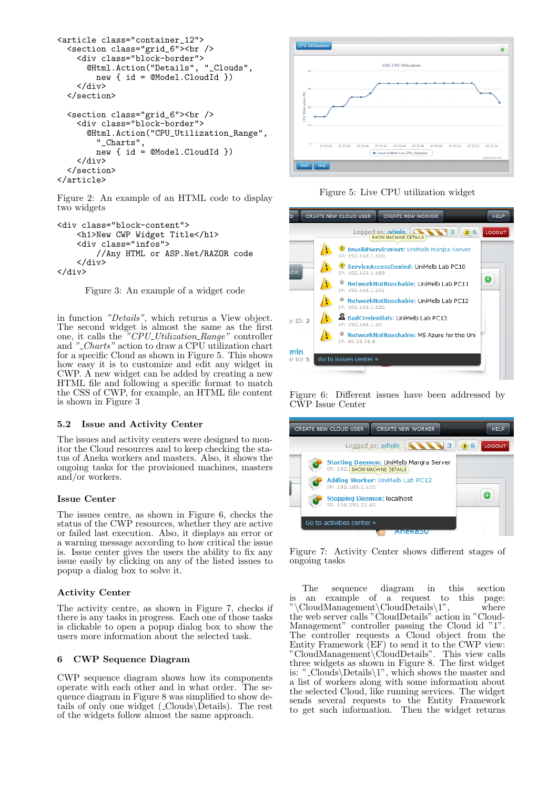```
<article class="container_12">
  <section class="grid_6"><br />
    <div class="block-border">
      @Html.Action("Details", "_Clouds",
        new { id = @Model.CloudId })
    </div>
  </section>
  <section class="grid_6"><br />
    <div class="block-border">
      @Html.Action("CPU_Utilization_Range",
        "_Charts",
        new { id = @Model.CloudId })
    </div>
  </section>
</article>
```
Figure 2: An example of an HTML code to display two widgets

```
<div class="block-content">
    <h1>New CWP Widget Title</h1>
    <div class="infos">
        //Any HTML or ASP.Net/RAZOR code
    </div>
</div>
```
Figure 3: An example of a widget code

in function "Details", which returns a View object. The second widget is almost the same as the first one, it calls the "CPU<sub>-</sub>Utilization<sub>-Range</sub>" controller and " Charts" action to draw a CPU utilization chart for a specific Cloud as shown in Figure 5. This shows how easy it is to customize and edit any widget in CWP. A new widget can be added by creating a new HTML file and following a specific format to match the CSS of CWP, for example, an HTML file content is shown in Figure 3

#### 5.2 Issue and Activity Center

The issues and activity centers were designed to monitor the Cloud resources and to keep checking the status of Aneka workers and masters. Also, it shows the ongoing tasks for the provisioned machines, masters and/or workers.

#### Issue Center

The issues centre, as shown in Figure 6, checks the status of the CWP resources, whether they are active or failed last execution. Also, it displays an error or a warning message according to how critical the issue is. Issue center gives the users the ability to fix any issue easily by clicking on any of the listed issues to popup a dialog box to solve it.

#### Activity Center

The activity centre, as shown in Figure 7, checks if there is any tasks in progress. Each one of those tasks is clickable to open a popup dialog box to show the users more information about the selected task.

#### 6 CWP Sequence Diagram

CWP sequence diagram shows how its components operate with each other and in what order. The sequence diagram in Figure 8 was simplified to show details of only one widget  $(\text{\_Clouds}\backslash\text{Details})$ . The rest of the widgets follow almost the same approach.



Figure 5: Live CPU utilization widget



Figure 6: Different issues have been addressed by CWP Issue Center



Figure 7: Activity Center shows different stages of ongoing tasks

The sequence diagram in this section is an example of a request to this page: "\CloudManagement\CloudDetails\1", where the web server calls "CloudDetails" action in "Cloud-Management" controller passing the Cloud id "1". The controller requests a Cloud object from the Entity Framework (EF) to send it to the CWP view: "CloudManagement\CloudDetails". This view calls three widgets as shown in Figure 8. The first widget is: " Clouds\Details\1", which shows the master and a list of workers along with some information about the selected Cloud, like running services. The widget sends several requests to the Entity Framework to get such information. Then the widget returns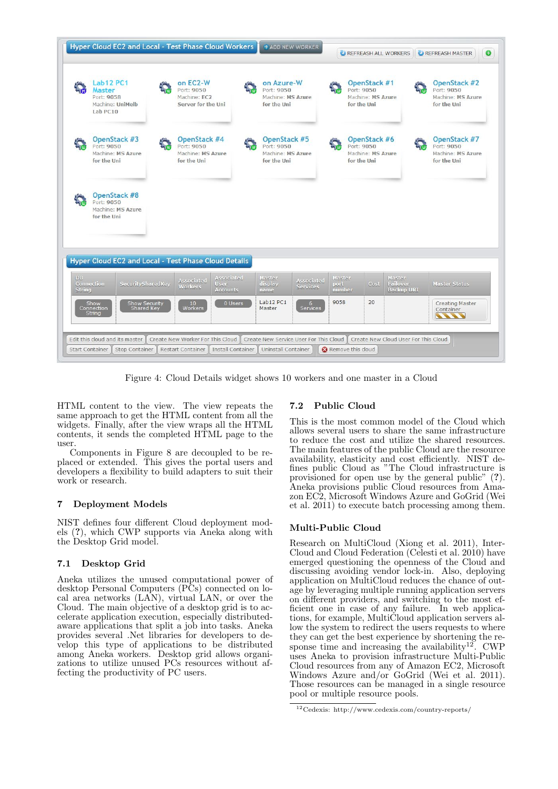|                      | Lab12 PC1<br>Master<br>Port: 9058<br>Machine: UniMelb<br>Lab PC10 | on EC2-W<br>Port: 9050<br>Machine: EC2<br>Server for the Uni   |                                       | on Azure-W<br>Port: 9050<br>Machine: MS Azure<br>for the Uni   |                          | OpenStack #1<br>Port: 9050<br>Machine: MS Azure<br>for the Uni |                                         | OpenStack #2<br>Port: 9050<br>Machine: MS Azure<br>for the Uni |
|----------------------|-------------------------------------------------------------------|----------------------------------------------------------------|---------------------------------------|----------------------------------------------------------------|--------------------------|----------------------------------------------------------------|-----------------------------------------|----------------------------------------------------------------|
|                      | OpenStack #3<br>Port: 9050<br>Machine: MS Azure<br>for the Uni    | OpenStack #4<br>Port: 9050<br>Machine: MS Azure<br>for the Uni |                                       | OpenStack #5<br>Port: 9050<br>Machine: MS Azure<br>for the Uni |                          | OpenStack #6<br>Port: 9050<br>Machine: MS Azure<br>for the Uni |                                         | OpenStack #7<br>Port: 9050<br>Machine: MS Azure<br>for the Uni |
|                      |                                                                   |                                                                |                                       |                                                                |                          |                                                                |                                         |                                                                |
|                      | OpenStack #8<br>Port: 9050<br>Machine: MS Azure<br>for the Uni    |                                                                |                                       |                                                                |                          |                                                                |                                         |                                                                |
|                      | Hyper Cloud EC2 and Local - Test Phase Cloud Details              |                                                                |                                       |                                                                |                          |                                                                |                                         |                                                                |
| DB.<br><b>String</b> | Connection<br>SecuritySharedKey                                   | Associated<br><b>Workers</b>                                   | Associated<br>User<br><b>Accounts</b> | Master<br>Associated<br>display<br><b>Services</b><br>name     | Master<br>port<br>number | Cost                                                           | Master<br>Failover<br><b>Backup URI</b> | <b>Master Status</b>                                           |

Figure 4: Cloud Details widget shows 10 workers and one master in a Cloud

HTML content to the view. The view repeats the same approach to get the HTML content from all the widgets. Finally, after the view wraps all the HTML contents, it sends the completed HTML page to the user.

Components in Figure 8 are decoupled to be replaced or extended. This gives the portal users and developers a flexibility to build adapters to suit their work or research.

#### 7 Deployment Models

NIST defines four different Cloud deployment models (?), which CWP supports via Aneka along with the Desktop Grid model.

#### 7.1 Desktop Grid

Aneka utilizes the unused computational power of desktop Personal Computers (PCs) connected on local area networks (LAN), virtual LAN, or over the Cloud. The main objective of a desktop grid is to accelerate application execution, especially distributedaware applications that split a job into tasks. Aneka provides several .Net libraries for developers to develop this type of applications to be distributed among Aneka workers. Desktop grid allows organizations to utilize unused PCs resources without affecting the productivity of PC users.

#### 7.2 Public Cloud

This is the most common model of the Cloud which allows several users to share the same infrastructure to reduce the cost and utilize the shared resources. The main features of the public Cloud are the resource availability, elasticity and cost efficiently. NIST defines public Cloud as "The Cloud infrastructure is provisioned for open use by the general public" (?). Aneka provisions public Cloud resources from Amazon EC2, Microsoft Windows Azure and GoGrid (Wei et al. 2011) to execute batch processing among them.

#### Multi-Public Cloud

Research on MultiCloud (Xiong et al. 2011), Inter-Cloud and Cloud Federation (Celesti et al. 2010) have emerged questioning the openness of the Cloud and discussing avoiding vendor lock-in. Also, deploying application on MultiCloud reduces the chance of outage by leveraging multiple running application servers on different providers, and switching to the most efficient one in case of any failure. In web applications, for example, MultiCloud application servers allow the system to redirect the users requests to where they can get the best experience by shortening the response time and increasing the availability<sup>12</sup>. CWP uses Aneka to provision infrastructure Multi-Public Cloud resources from any of Amazon EC2, Microsoft Windows Azure and/or GoGrid (Wei et al. 2011). Those resources can be managed in a single resource pool or multiple resource pools.

 $^{12}\rm{Cedexis:}$ http://www.cedexis.com/country-reports/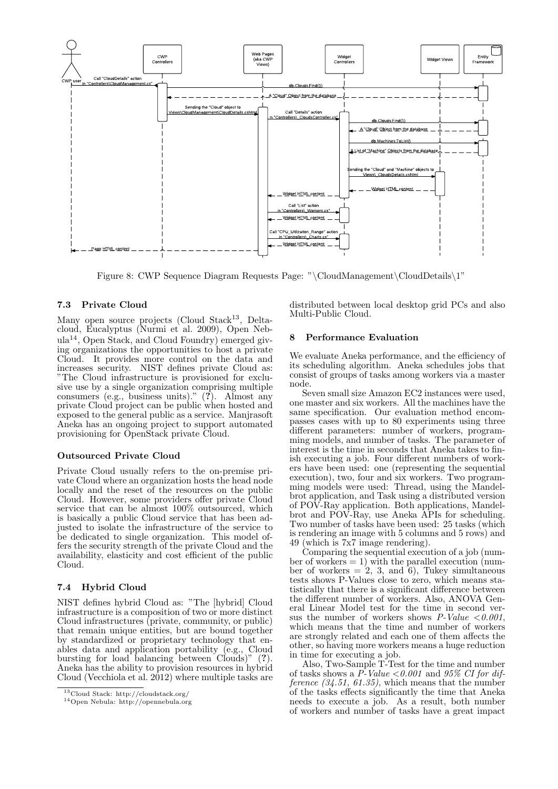

Figure 8: CWP Sequence Diagram Requests Page: "\CloudManagement\CloudDetails\1"

#### 7.3 Private Cloud

Many open source projects (Cloud Stack<sup>13</sup>, Deltacloud, Eucalyptus (Nurmi et al. 2009), Open Nebula14, Open Stack, and Cloud Foundry) emerged giving organizations the opportunities to host a private Cloud. It provides more control on the data and increases security. NIST defines private Cloud as: "The Cloud infrastructure is provisioned for exclusive use by a single organization comprising multiple consumers (e.g., business units)."  $(?)$ . Almost any private Cloud project can be public when hosted and exposed to the general public as a service. Manjrasoft Aneka has an ongoing project to support automated provisioning for OpenStack private Cloud.

#### Outsourced Private Cloud

Private Cloud usually refers to the on-premise private Cloud where an organization hosts the head node locally and the reset of the resources on the public Cloud. However, some providers offer private Cloud service that can be almost 100% outsourced, which is basically a public Cloud service that has been adjusted to isolate the infrastructure of the service to be dedicated to single organization. This model offers the security strength of the private Cloud and the availability, elasticity and cost efficient of the public Cloud.

#### 7.4 Hybrid Cloud

NIST defines hybrid Cloud as: "The [hybrid] Cloud infrastructure is a composition of two or more distinct Cloud infrastructures (private, community, or public) that remain unique entities, but are bound together by standardized or proprietary technology that enables data and application portability (e.g., Cloud bursting for load balancing between Clouds)" (?). Aneka has the ability to provision resources in hybrid Cloud (Vecchiola et al. 2012) where multiple tasks are distributed between local desktop grid PCs and also Multi-Public Cloud.

### 8 Performance Evaluation

We evaluate Aneka performance, and the efficiency of its scheduling algorithm. Aneka schedules jobs that consist of groups of tasks among workers via a master node.

Seven small size Amazon EC2 instances were used, one master and six workers. All the machines have the same specification. Our evaluation method encompasses cases with up to 80 experiments using three different parameters: number of workers, programming models, and number of tasks. The parameter of interest is the time in seconds that Aneka takes to finish executing a job. Four different numbers of workers have been used: one (representing the sequential execution), two, four and six workers. Two programming models were used: Thread, using the Mandelbrot application, and Task using a distributed version of POV-Ray application. Both applications, Mandelbrot and POV-Ray, use Aneka APIs for scheduling. Two number of tasks have been used: 25 tasks (which is rendering an image with 5 columns and 5 rows) and 49 (which is 7x7 image rendering).

Comparing the sequential execution of a job (number of workers  $= 1$ ) with the parallel execution (number of workers  $= 2, 3, \text{ and } 6$ , Tukey simultaneous tests shows P-Values close to zero, which means statistically that there is a significant difference between the different number of workers. Also, ANOVA General Linear Model test for the time in second versus the number of workers shows  $P-Value < 0.001$ , which means that the time and number of workers are strongly related and each one of them affects the other, so having more workers means a huge reduction in time for executing a job.

Also, Two-Sample T-Test for the time and number of tasks shows a  $P$ -Value <0.001 and 95% CI for difference  $(34.51, 61.35)$ , which means that the number of the tasks effects significantly the time that Aneka needs to execute a job. As a result, both number of workers and number of tasks have a great impact

<sup>13</sup>Cloud Stack: http://cloudstack.org/

<sup>14</sup>Open Nebula: http://opennebula.org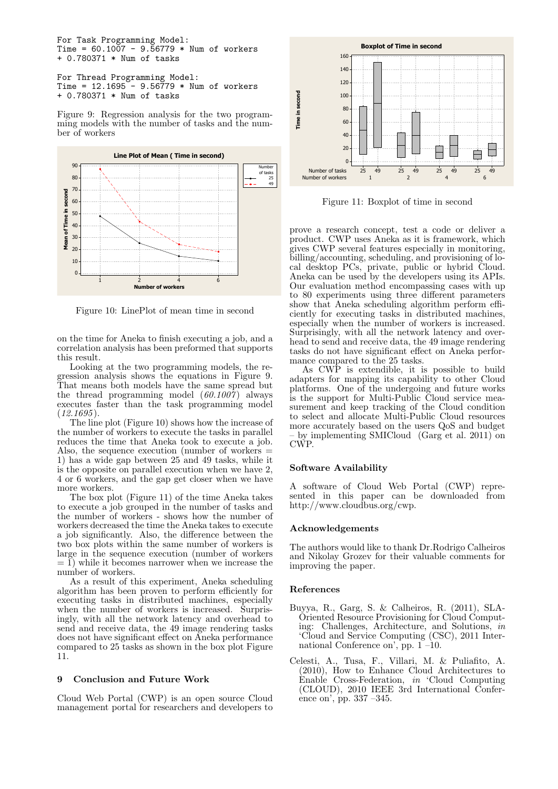For Task Programming Model: Time =  $60.1007 - 9.56779 * Num of workers$ + 0.780371 \* Num of tasks

```
For Thread Programming Model:
Time = 12.1695 - 9.56779 * Num of workers
+ 0.780371 * Num of tasks
```
Figure 9: Regression analysis for the two programming models with the number of tasks and the number of workers



Figure 10: LinePlot of mean time in second

on the time for Aneka to finish executing a job, and a correlation analysis has been preformed that supports this result.

Looking at the two programming models, the regression analysis shows the equations in Figure 9. That means both models have the same spread but the thread programming model  $(60.1007)$  always executes faster than the task programming model  $(12.1695)$ .

The line plot (Figure 10) shows how the increase of the number of workers to execute the tasks in parallel reduces the time that Aneka took to execute a job. Also, the sequence execution (number of workers  $=$ 1) has a wide gap between 25 and 49 tasks, while it is the opposite on parallel execution when we have 2, 4 or 6 workers, and the gap get closer when we have more workers.

The box plot (Figure 11) of the time Aneka takes to execute a job grouped in the number of tasks and the number of workers - shows how the number of workers decreased the time the Aneka takes to execute a job significantly. Also, the difference between the two box plots within the same number of workers is large in the sequence execution (number of workers  $= 1$ ) while it becomes narrower when we increase the number of workers.

As a result of this experiment, Aneka scheduling algorithm has been proven to perform efficiently for executing tasks in distributed machines, especially when the number of workers is increased. Surprisingly, with all the network latency and overhead to send and receive data, the 49 image rendering tasks does not have significant effect on Aneka performance compared to 25 tasks as shown in the box plot Figure 11.

#### 9 Conclusion and Future Work

Cloud Web Portal (CWP) is an open source Cloud management portal for researchers and developers to



Figure 11: Boxplot of time in second

prove a research concept, test a code or deliver a product. CWP uses Aneka as it is framework, which gives CWP several features especially in monitoring, billing/accounting, scheduling, and provisioning of local desktop PCs, private, public or hybrid Cloud. Aneka can be used by the developers using its APIs. Our evaluation method encompassing cases with up to 80 experiments using three different parameters show that Aneka scheduling algorithm perform efficiently for executing tasks in distributed machines, especially when the number of workers is increased. Surprisingly, with all the network latency and overhead to send and receive data, the 49 image rendering tasks do not have significant effect on Aneka performance compared to the 25 tasks.

As CWP is extendible, it is possible to build adapters for mapping its capability to other Cloud platforms. One of the undergoing and future works is the support for Multi-Public Cloud service measurement and keep tracking of the Cloud condition to select and allocate Multi-Public Cloud resources more accurately based on the users QoS and budget – by implementing SMICloud (Garg et al. 2011) on CWP.

#### Software Availability

A software of Cloud Web Portal (CWP) represented in this paper can be downloaded from http://www.cloudbus.org/cwp.

#### Acknowledgements

The authors would like to thank Dr.Rodrigo Calheiros and Nikolay Grozev for their valuable comments for improving the paper.

#### References

- Buyya, R., Garg, S. & Calheiros, R. (2011), SLA-Oriented Resource Provisioning for Cloud Computing: Challenges, Architecture, and Solutions, in 'Cloud and Service Computing (CSC), 2011 International Conference on', pp. 1 –10.
- Celesti, A., Tusa, F., Villari, M. & Puliafito, A. (2010), How to Enhance Cloud Architectures to Enable Cross-Federation, in 'Cloud Computing (CLOUD), 2010 IEEE 3rd International Conference on', pp. 337 –345.